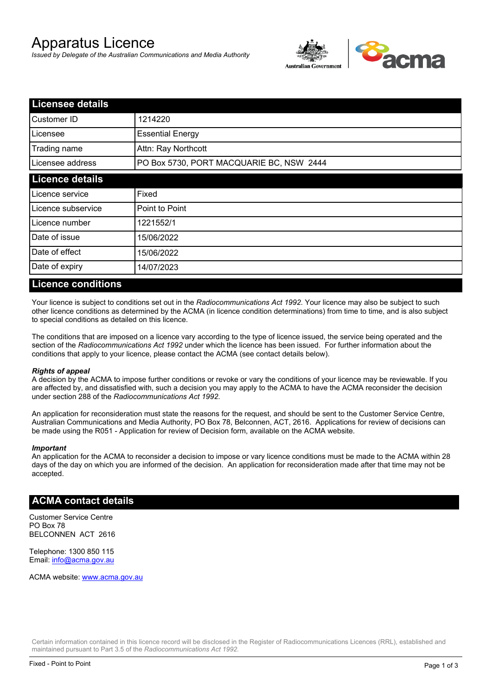# Apparatus Licence

*Issued by Delegate of the Australian Communications and Media Authority*



| <b>Licensee details</b> |                                          |  |
|-------------------------|------------------------------------------|--|
| Customer ID             | 1214220                                  |  |
| Licensee                | <b>Essential Energy</b>                  |  |
| Trading name            | Attn: Ray Northcott                      |  |
| Licensee address        | PO Box 5730, PORT MACQUARIE BC, NSW 2444 |  |
| <b>Licence details</b>  |                                          |  |
| Licence service         | Fixed                                    |  |
| Licence subservice      | Point to Point                           |  |
| Licence number          | 1221552/1                                |  |
| Date of issue           | 15/06/2022                               |  |
| Date of effect          | 15/06/2022                               |  |
| Date of expiry          | 14/07/2023                               |  |

#### **Licence conditions**

Your licence is subject to conditions set out in the *Radiocommunications Act 1992*. Your licence may also be subject to such other licence conditions as determined by the ACMA (in licence condition determinations) from time to time, and is also subject to special conditions as detailed on this licence.

The conditions that are imposed on a licence vary according to the type of licence issued, the service being operated and the section of the *Radiocommunications Act 1992* under which the licence has been issued. For further information about the conditions that apply to your licence, please contact the ACMA (see contact details below).

#### *Rights of appeal*

A decision by the ACMA to impose further conditions or revoke or vary the conditions of your licence may be reviewable. If you are affected by, and dissatisfied with, such a decision you may apply to the ACMA to have the ACMA reconsider the decision under section 288 of the *Radiocommunications Act 1992*.

An application for reconsideration must state the reasons for the request, and should be sent to the Customer Service Centre, Australian Communications and Media Authority, PO Box 78, Belconnen, ACT, 2616. Applications for review of decisions can be made using the R051 - Application for review of Decision form, available on the ACMA website.

#### *Important*

An application for the ACMA to reconsider a decision to impose or vary licence conditions must be made to the ACMA within 28 days of the day on which you are informed of the decision. An application for reconsideration made after that time may not be accepted.

#### **ACMA contact details**

Customer Service Centre PO Box 78 BELCONNEN ACT 2616

Telephone: 1300 850 115 Email: info@acma.gov.au

ACMA website: www.acma.gov.au

Certain information contained in this licence record will be disclosed in the Register of Radiocommunications Licences (RRL), established and maintained pursuant to Part 3.5 of the *Radiocommunications Act 1992.*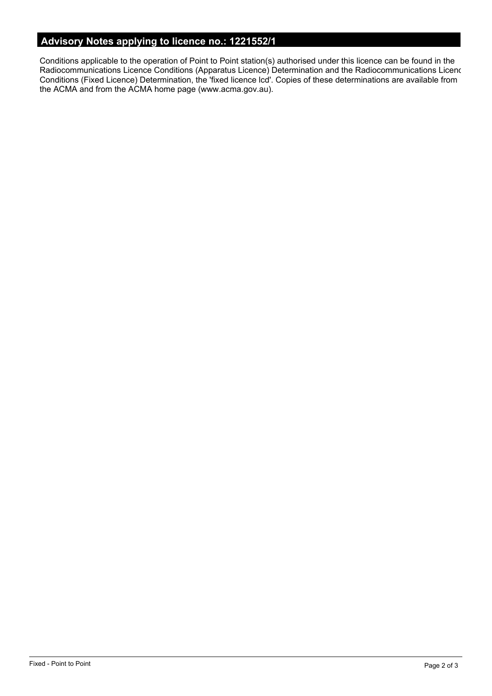# **Advisory Notes applying to licence no.: 1221552/1**

Conditions applicable to the operation of Point to Point station(s) authorised under this licence can be found in the Radiocommunications Licence Conditions (Apparatus Licence) Determination and the Radiocommunications Licence Conditions (Fixed Licence) Determination, the 'fixed licence lcd'. Copies of these determinations are available from the ACMA and from the ACMA home page (www.acma.gov.au).